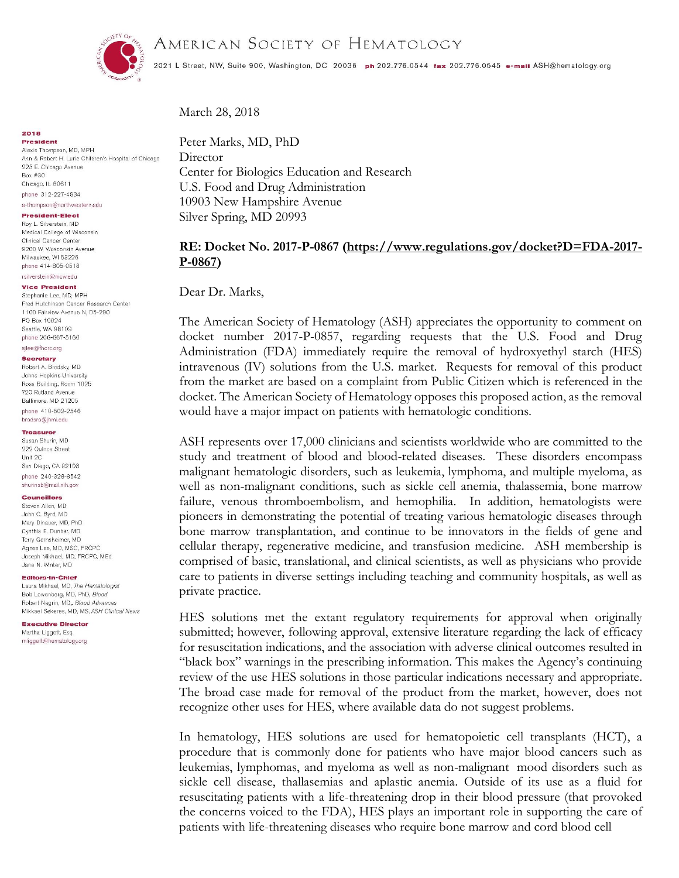AMERICAN SOCIETY OF HEMATOLOGY



2021 L Street, NW, Suite 900, Washington, DC 20036 ph 202.776.0544 tax 202.776.0545 e-mail ASH@hematology.org

# March 28, 2018

**2018 President** Alexis Thompson, MD, MPH Ann & Robert H. Lurie Children's Hospital of Chicago 225 E. Chicago Avenue Box #30 Chicago, IL 60611 phone 312-227-4834

## a-thompson@northwestern.edu

**President-Elect** 

Roy L. Silverstein, MD Medical College of Wisconsin Clinical Cancer Center 9200 W. Wosconsin Avenue Milwaukee, WI 53226 phone 414-805-0518 rsilverstein@mcw.edu

## **Vice President**

Stephanie Lee, MD, MPH Fred Hutchinson Cancer Research Center 1100 Fairview Avenue N. D5-290 PO Box 19024 Seattle, WA 98109 phone 206-667-5160

#### sjlee@fhcrc.org Secretary

Robert A. Brodsky, MD Johns Hopkins University Ross Building, Room 1025 720 Rutland Avenue Baltimore, MD 21205 phone 410-502-2546 brodsro@ihmi.edu

### Treasurer

Susan Shurin, MD 222 Quince Street Unit 2C San Diego, CA 92103 phone 240-328-8542 shurinsb@mail.nih.gov

### **Councillors**

Steven Allen, MD John C. Byrd, MD Mary Dinauer, MD, PhD Cynthia E. Dunbar, MD Terry Gernsheimer, MD Agnes Lee, MD, MSC, FRCPC Joseph Mikhael, MD, FRCPC, MEd Jane N. Winter, MD

#### Editors-In-Chief

Laura Mikhael, MD, The Hematologist Bob Lowenberg, MD, PhD, Blood Robert Negrin, MD, Blood Advances Mikkael Sekeres, MD, MS, ASH Clinical News

**Executive Director** Martha Liggett, Esg. mliggett@hematology.org

Peter Marks, MD, PhD **Director** Center for Biologics Education and Research U.S. Food and Drug Administration 10903 New Hampshire Avenue Silver Spring, MD 20993

# **RE: Docket No. 2017-P-0867 [\(https://www.regulations.gov/docket?D=FDA-2017-](https://www.regulations.gov/docket?D=FDA-2017-P-0867) [P-0867\)](https://www.regulations.gov/docket?D=FDA-2017-P-0867)**

Dear Dr. Marks,

The American Society of Hematology (ASH) appreciates the opportunity to comment on docket number 2017-P-0857, regarding requests that the U.S. Food and Drug Administration (FDA) immediately require the removal of hydroxyethyl starch (HES) intravenous (IV) solutions from the U.S. market. Requests for removal of this product from the market are based on a complaint from Public Citizen which is referenced in the docket. The American Society of Hematology opposes this proposed action, as the removal would have a major impact on patients with hematologic conditions.

ASH represents over 17,000 clinicians and scientists worldwide who are committed to the study and treatment of blood and blood-related diseases. These disorders encompass malignant hematologic disorders, such as leukemia, lymphoma, and multiple myeloma, as well as non-malignant conditions, such as sickle cell anemia, thalassemia, bone marrow failure, venous thromboembolism, and hemophilia. In addition, hematologists were pioneers in demonstrating the potential of treating various hematologic diseases through bone marrow transplantation, and continue to be innovators in the fields of gene and cellular therapy, regenerative medicine, and transfusion medicine. ASH membership is comprised of basic, translational, and clinical scientists, as well as physicians who provide care to patients in diverse settings including teaching and community hospitals, as well as private practice.

HES solutions met the extant regulatory requirements for approval when originally submitted; however, following approval, extensive literature regarding the lack of efficacy for resuscitation indications, and the association with adverse clinical outcomes resulted in "black box" warnings in the prescribing information. This makes the Agency's continuing review of the use HES solutions in those particular indications necessary and appropriate. The broad case made for removal of the product from the market, however, does not recognize other uses for HES, where available data do not suggest problems.

In hematology, HES solutions are used for hematopoietic cell transplants (HCT), a procedure that is commonly done for patients who have major blood cancers such as leukemias, lymphomas, and myeloma as well as non-malignant mood disorders such as sickle cell disease, thallasemias and aplastic anemia. Outside of its use as a fluid for resuscitating patients with a life-threatening drop in their blood pressure (that provoked the concerns voiced to the FDA), HES plays an important role in supporting the care of patients with life-threatening diseases who require bone marrow and cord blood cell